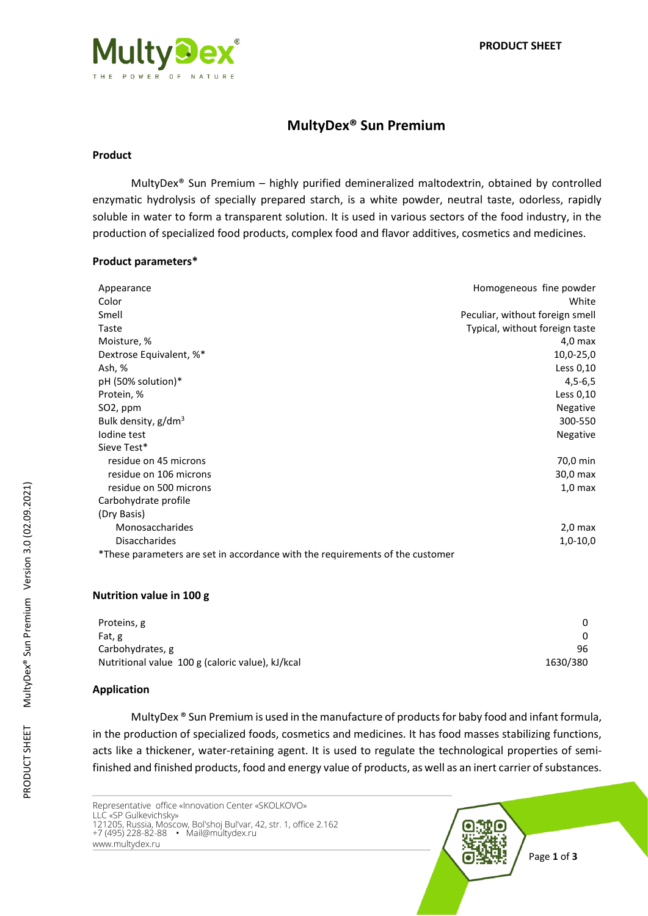

# **MultyDex® Sun Premium**

## **Product**

MultyDex® Sun Premium – highly purified demineralized maltodextrin, obtained by controlled enzymatic hydrolysis of specially prepared starch, is a white powder, neutral taste, odorless, rapidly soluble in water to form a transparent solution. It is used in various sectors of the food industry, in the production of specialized food products, complex food and flavor additives, cosmetics and medicines.

### **Product parameters\***

| Appearance                                                                    | Homogeneous fine powder         |
|-------------------------------------------------------------------------------|---------------------------------|
| Color                                                                         | White                           |
| Smell                                                                         | Peculiar, without foreign smell |
| Taste                                                                         | Typical, without foreign taste  |
| Moisture, %                                                                   | $4,0$ max                       |
| Dextrose Equivalent, %*                                                       | 10,0-25,0                       |
| Ash, %                                                                        | Less 0,10                       |
| pH (50% solution)*                                                            | $4,5-6,5$                       |
| Protein, %                                                                    | Less 0,10                       |
| SO <sub>2</sub> , ppm                                                         | <b>Negative</b>                 |
| Bulk density, g/dm <sup>3</sup>                                               | 300-550                         |
| lodine test                                                                   | Negative                        |
| Sieve Test*                                                                   |                                 |
| residue on 45 microns                                                         | 70,0 min                        |
| residue on 106 microns                                                        | 30,0 max                        |
| residue on 500 microns                                                        | $1,0$ max                       |
| Carbohydrate profile                                                          |                                 |
| (Dry Basis)                                                                   |                                 |
| Monosaccharides                                                               | $2,0$ max                       |
| <b>Disaccharides</b>                                                          | $1,0-10,0$                      |
| *These parameters are set in accordance with the requirements of the customer |                                 |

#### **Nutrition value in 100 g**

| Proteins, g                                      | 0        |
|--------------------------------------------------|----------|
| Fat, g                                           | 0        |
| Carbohydrates, g                                 | 96       |
| Nutritional value 100 g (caloric value), kJ/kcal | 1630/380 |

## **Application**

MultyDex ® Sun Premium is used in the manufacture of products for baby food and infant formula, in the production of specialized foods, cosmetics and medicines. It has food masses stabilizing functions, acts like a thickener, water-retaining agent. It is used to regulate the technological properties of semifinished and finished products, food and energy value of products, as well as an inert carrier of substances.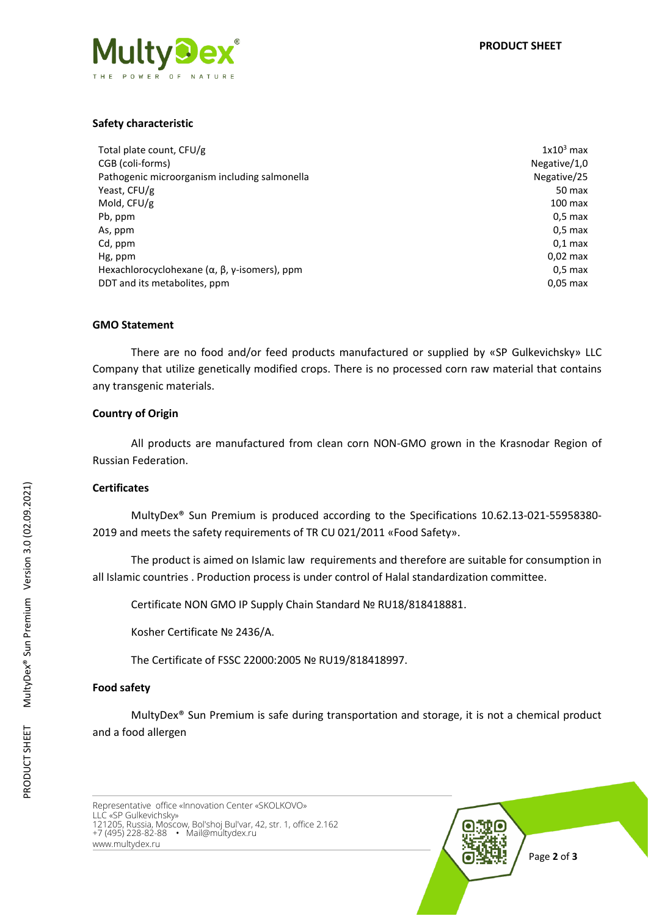# **Safety characteristic**

| Total plate count, CFU/g                                             | $1x103$ max     |
|----------------------------------------------------------------------|-----------------|
| CGB (coli-forms)                                                     | Negative $/1,0$ |
| Pathogenic microorganism including salmonella                        | Negative/25     |
| Yeast, CFU/g                                                         | 50 max          |
| Mold, CFU/g                                                          | $100$ max       |
| Pb, ppm                                                              | $0.5$ max       |
| As, ppm                                                              | $0.5$ max       |
| Cd, ppm                                                              | $0.1$ max       |
| Hg, ppm                                                              | $0.02$ max      |
| Hexachlorocyclohexane $(\alpha, \beta, \gamma\text{-isomers})$ , ppm | $0.5$ max       |
| DDT and its metabolites, ppm                                         | $0.05$ max      |

## **GMO Statement**

There are no food and/or feed products manufactured or supplied by «SP Gulkevichsky» LLC Company that utilize genetically modified crops. There is no processed corn raw material that contains any transgenic materials.

### **Country of Origin**

All products are manufactured from clean corn NON-GMO grown in the Krasnodar Region of Russian Federation.

#### **Certificates**

MultyDex® Sun Premium is produced according to the Specifications 10.62.13-021-55958380- 2019 and meets the safety requirements of TR CU 021/2011 «Food Safety».

The product is aimed on Islamic law requirements and therefore are suitable for consumption in all Islamic countries . Production process is under control of Halal standardization committee.

Certificate NON GMO IP Supply Chain Standard № RU18/818418881.

Kosher Certificate № 2436/А.

The Certificate of FSSC 22000:2005 № RU19/818418997.

## **Food safety**

MultyDex® Sun Premium is safe during transportation and storage, it is not a chemical product and a food allergen